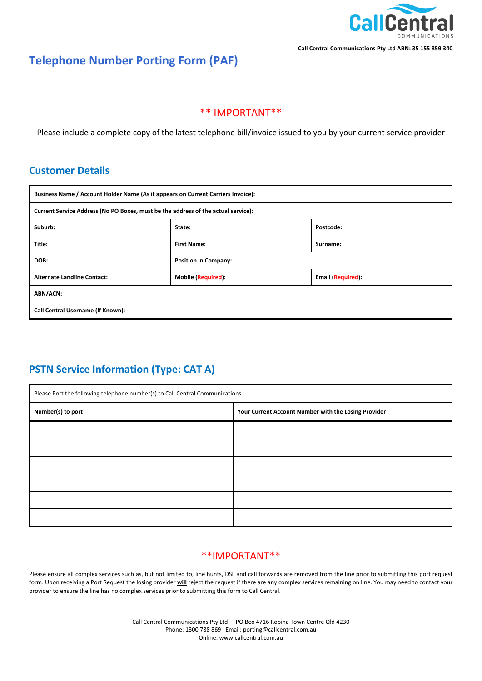

# **Telephone Number Porting Form (PAF)**

### \*\* IMPORTANT\*\*

Please include a complete copy of the latest telephone bill/invoice issued to you by your current service provider

## **Customer Details**

| Business Name / Account Holder Name (As it appears on Current Carriers Invoice):  |                             |                          |  |
|-----------------------------------------------------------------------------------|-----------------------------|--------------------------|--|
| Current Service Address (No PO Boxes, must be the address of the actual service): |                             |                          |  |
| Suburb:                                                                           | State:                      | Postcode:                |  |
| Title:                                                                            | <b>First Name:</b>          | Surname:                 |  |
| DOB:                                                                              | <b>Position in Company:</b> |                          |  |
| <b>Alternate Landline Contact:</b>                                                | Mobile (Required):          | <b>Email (Required):</b> |  |
| ABN/ACN:                                                                          |                             |                          |  |
| Call Central Username (If Known):                                                 |                             |                          |  |

# **PSTN Service Information (Type: CAT A)**

| Please Port the following telephone number(s) to Call Central Communications |                                                      |  |
|------------------------------------------------------------------------------|------------------------------------------------------|--|
| Number(s) to port                                                            | Your Current Account Number with the Losing Provider |  |
|                                                                              |                                                      |  |
|                                                                              |                                                      |  |
|                                                                              |                                                      |  |
|                                                                              |                                                      |  |
|                                                                              |                                                      |  |
|                                                                              |                                                      |  |

### \*\*IMPORTANT\*\*

Please ensure all complex services such as, but not limited to, line hunts, DSL and call forwards are removed from the line prior to submitting this port request form. Upon receiving a Port Request the losing provider **will** reject the request if there are any complex services remaining on line. You may need to contact your provider to ensure the line has no complex services prior to submitting this form to Call Central.

> Call Central Communications Pty Ltd - PO Box 4716 Robina Town Centre Qld 4230 Phone: 1300 788 869 Email: porting@callcentral.com.au Online: www.callcentral.com.au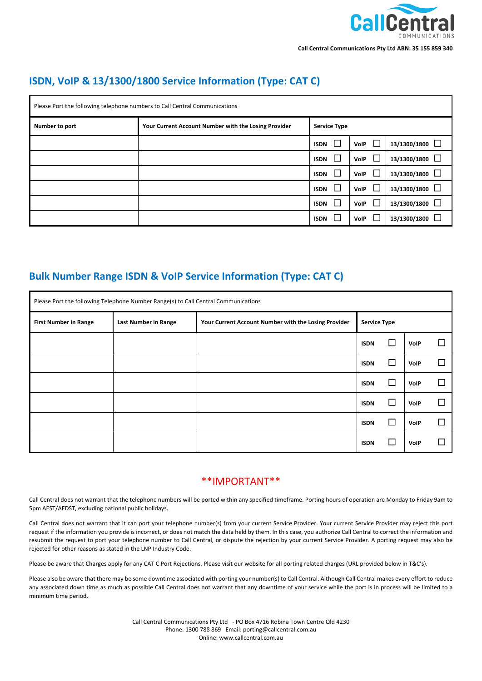

# **ISDN, VoIP & 13/1300/1800 Service Information (Type: CAT C)**

| Please Port the following telephone numbers to Call Central Communications |                                                      |                       |                       |                        |
|----------------------------------------------------------------------------|------------------------------------------------------|-----------------------|-----------------------|------------------------|
| Number to port                                                             | Your Current Account Number with the Losing Provider | <b>Service Type</b>   |                       |                        |
|                                                                            |                                                      | $\Box$<br><b>ISDN</b> | $\Box$<br>VoIP        | $13/1300/1800$ $\Box$  |
|                                                                            |                                                      | ப<br><b>ISDN</b>      | L<br>VoIP             | $13/1300/1800$ $\Box$  |
|                                                                            |                                                      | $\Box$<br><b>ISDN</b> | $\Box$<br><b>VolP</b> | 13/1300/1800           |
|                                                                            |                                                      | $\Box$<br><b>ISDN</b> | $\Box$<br><b>VoIP</b> | $13/1300/1800$ $\Box$  |
|                                                                            |                                                      | $\Box$<br><b>ISDN</b> | L<br><b>VolP</b>      | $\Box$<br>13/1300/1800 |
|                                                                            |                                                      | L<br><b>ISDN</b>      | $\Box$<br><b>VolP</b> | 13/1300/1800           |

## **Bulk Number Range ISDN & VoIP Service Information (Type: CAT C)**

| Please Port the following Telephone Number Range(s) to Call Central Communications |                             |                                                      |                     |        |             |  |
|------------------------------------------------------------------------------------|-----------------------------|------------------------------------------------------|---------------------|--------|-------------|--|
| <b>First Number in Range</b>                                                       | <b>Last Number in Range</b> | Your Current Account Number with the Losing Provider | <b>Service Type</b> |        |             |  |
|                                                                                    |                             |                                                      | <b>ISDN</b>         | $\Box$ | <b>VolP</b> |  |
|                                                                                    |                             |                                                      | <b>ISDN</b>         | $\Box$ | <b>VolP</b> |  |
|                                                                                    |                             |                                                      | <b>ISDN</b>         | $\Box$ | <b>VolP</b> |  |
|                                                                                    |                             |                                                      | <b>ISDN</b>         | $\Box$ | <b>VolP</b> |  |
|                                                                                    |                             |                                                      | <b>ISDN</b>         | $\Box$ | VolP        |  |
|                                                                                    |                             |                                                      | <b>ISDN</b>         | $\Box$ | <b>VolP</b> |  |

### \*\*IMPORTANT\*\*

Call Central does not warrant that the telephone numbers will be ported within any specified timeframe. Porting hours of operation are Monday to Friday 9am to 5pm AEST/AEDST, excluding national public holidays.

Call Central does not warrant that it can port your telephone number(s) from your current Service Provider. Your current Service Provider may reject this port request if the information you provide is incorrect, or does not match the data held by them. In this case, you authorize Call Central to correct the information and resubmit the request to port your telephone number to Call Central, or dispute the rejection by your current Service Provider. A porting request may also be rejected for other reasons as stated in the LNP Industry Code.

Please be aware that Charges apply for any CAT C Port Rejections. Please visit our website for all porting related charges (URL provided below in T&C's).

Please also be aware that there may be some downtime associated with porting your number(s) to Call Central. Although Call Central makes every effort to reduce any associated down time as much as possible Call Central does not warrant that any downtime of your service while the port is in process will be limited to a minimum time period.

> Call Central Communications Pty Ltd - PO Box 4716 Robina Town Centre Qld 4230 Phone: 1300 788 869 Email: porting@callcentral.com.au Online: www.callcentral.com.au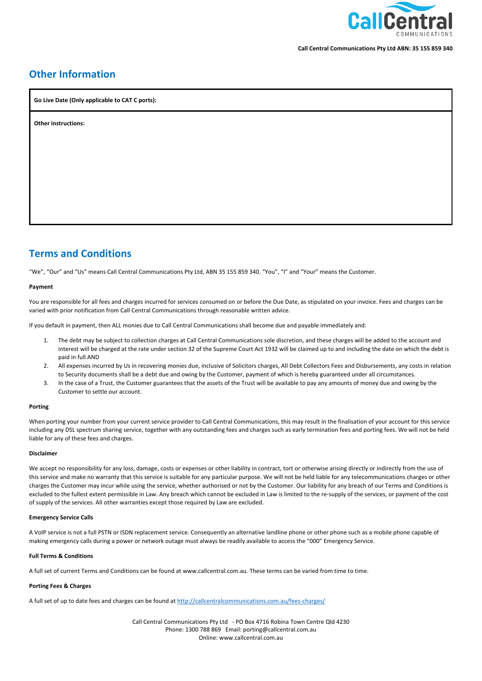

## **Other Information**

**Go Live Date (Only applicable to CAT C ports):**

**Other instructions:**

## **Terms and Conditions**

"We", "Our" and "Us" means Call Central Communications Pty Ltd, ABN 35 155 859 340. "You", "I" and "Your" means the Customer.

#### **Payment**

You are responsible for all fees and charges incurred for services consumed on or before the Due Date, as stipulated on your invoice. Fees and charges can be varied with prior notification from Call Central Communications through reasonable written advice.

If you default in payment, then ALL monies due to Call Central Communications shall become due and payable immediately and:

- 1. The debt may be subject to collection charges at Call Central Communications sole discretion, and these charges will be added to the account and interest will be charged at the rate under section 32 of the Supreme Court Act 1932 will be claimed up to and including the date on which the debt is paid in full AND
- 2. All expenses incurred by Us in recovering monies due, inclusive of Solicitors charges, All Debt Collectors Fees and Disbursements, any costs in relation to Security documents shall be a debt due and owing by the Customer, payment of which is hereby guaranteed under all circumstances.
- 3. In the case of a Trust, the Customer guarantees that the assets of the Trust will be available to pay any amounts of money due and owing by the Customer to settle our account.

#### **Porting**

When porting your number from your current service provider to Call Central Communications, this may result in the finalisation of your account for this service including any DSL spectrum sharing service, together with any outstanding fees and charges such as early termination fees and porting fees. We will not be held liable for any of these fees and charges.

#### **Disclaimer**

We accept no responsibility for any loss, damage, costs or expenses or other liability in contract, tort or otherwise arising directly or indirectly from the use of this service and make no warranty that this service is suitable for any particular purpose. We will not be held liable for any telecommunications charges or other charges the Customer may incur while using the service, whether authorised or not by the Customer. Our liability for any breach of our Terms and Conditions is excluded to the fullest extent permissible in Law. Any breach which cannot be excluded in Law is limited to the re-supply of the services, or payment of the cost of supply of the services. All other warranties except those required by Law are excluded.

#### **Emergency Service Calls**

A VoIP service is not a full PSTN or ISDN replacement service. Consequently an alternative landline phone or other phone such as a mobile phone capable of making emergency calls during a power or network outage must always be readily available to access the "000" Emergency Service.

#### **Full Terms & Conditions**

A full set of current Terms and Conditions can be found at www.callcentral.com.au. These terms can be varied from time to time.

#### **Porting Fees & Charges**

A full set of up to date fees and charges can be found a[t http://callcentralcommunications.com.au/fees-charges/](http://callcentralcommunications.com.au/fees-charges/)

Call Central Communications Pty Ltd - PO Box 4716 Robina Town Centre Qld 4230 Phone: 1300 788 869 Email: porting@callcentral.com.au Online: www.callcentral.com.au